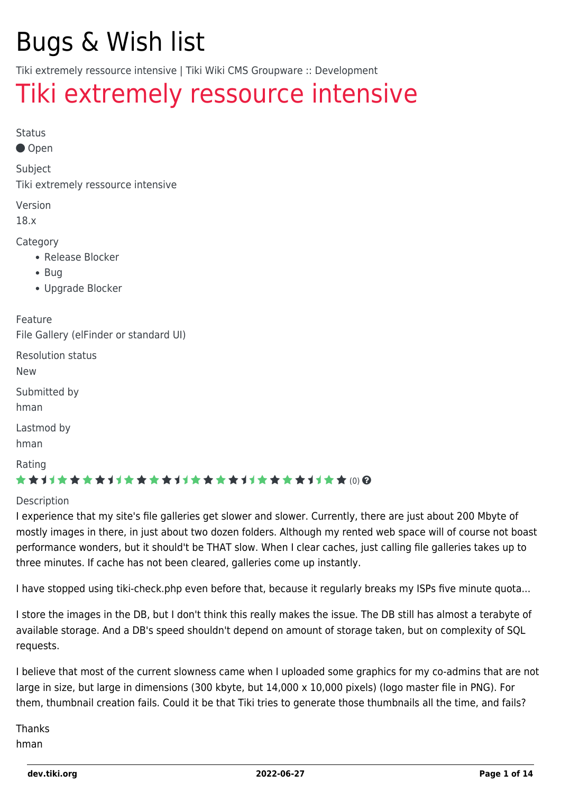## Bugs & Wish list

Tiki extremely ressource intensive | Tiki Wiki CMS Groupware :: Development

## [Tiki extremely ressource intensive](https://dev.tiki.org/item7710-Tiki-extremely-ressource-intensive)

Status

● Open

Subject

Tiki extremely ressource intensive

Version

18.x

Category

- Release Blocker
- Bug
- Upgrade Blocker

Feature

File Gallery (elFinder or standard UI)

Resolution status

New

Submitted by hman

Lastmod by

hman

Rating

### \*\*\*\*\*\*\*\*\*\*\*\*\*\*\*\*\*\*\*\*\*\*\*\*\*\*\*\*\*\*

#### **Description**

I experience that my site's file galleries get slower and slower. Currently, there are just about 200 Mbyte of mostly images in there, in just about two dozen folders. Although my rented web space will of course not boast performance wonders, but it should't be THAT slow. When I clear caches, just calling file galleries takes up to three minutes. If cache has not been cleared, galleries come up instantly.

I have stopped using tiki-check.php even before that, because it regularly breaks my ISPs five minute quota...

I store the images in the DB, but I don't think this really makes the issue. The DB still has almost a terabyte of available storage. And a DB's speed shouldn't depend on amount of storage taken, but on complexity of SQL requests.

I believe that most of the current slowness came when I uploaded some graphics for my co-admins that are not large in size, but large in dimensions (300 kbyte, but 14,000 x 10,000 pixels) (logo master file in PNG). For them, thumbnail creation fails. Could it be that Tiki tries to generate those thumbnails all the time, and fails?

Thanks hman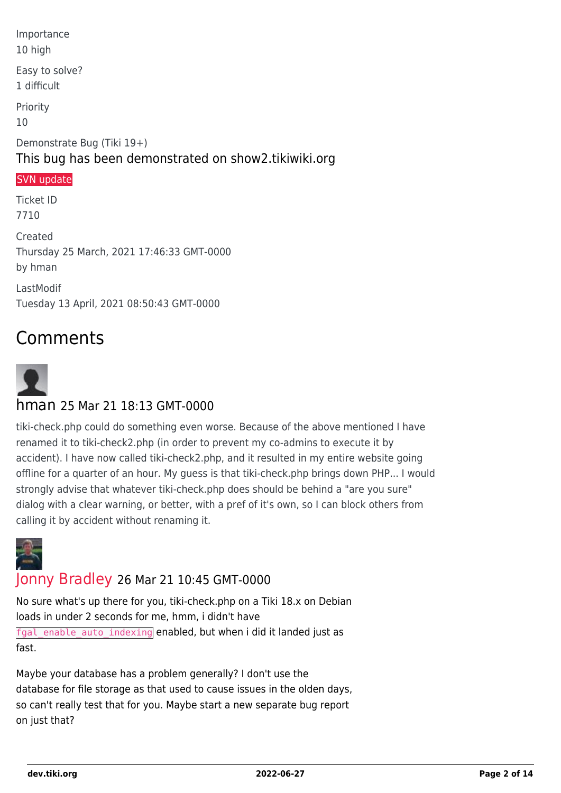Importance 10 high Easy to solve? 1 difficult Priority 10 Demonstrate Bug (Tiki 19+) This bug has been demonstrated on show2.tikiwiki.org [SVN update](#page--1-0) Ticket ID 7710 Created Thursday 25 March, 2021 17:46:33 GMT-0000 by hman

LastModif Tuesday 13 April, 2021 08:50:43 GMT-0000

### Comments



### hman 25 Mar 21 18:13 GMT-0000

tiki-check.php could do something even worse. Because of the above mentioned I have renamed it to tiki-check2.php (in order to prevent my co-admins to execute it by accident). I have now called tiki-check2.php, and it resulted in my entire website going offline for a quarter of an hour. My guess is that tiki-check.php brings down PHP... I would strongly advise that whatever tiki-check.php does should be behind a "are you sure" dialog with a clear warning, or better, with a pref of it's own, so I can block others from calling it by accident without renaming it.



### [Jonny Bradley](https://dev.tiki.org/user8515) 26 Mar 21 10:45 GMT-0000

No sure what's up there for you, tiki-check.php on a Tiki 18.x on Debian loads in under 2 seconds for me, hmm, i didn't have fgal enable auto indexing enabled, but when i did it landed just as fast.

Maybe your database has a problem generally? I don't use the database for file storage as that used to cause issues in the olden days, so can't really test that for you. Maybe start a new separate bug report on just that?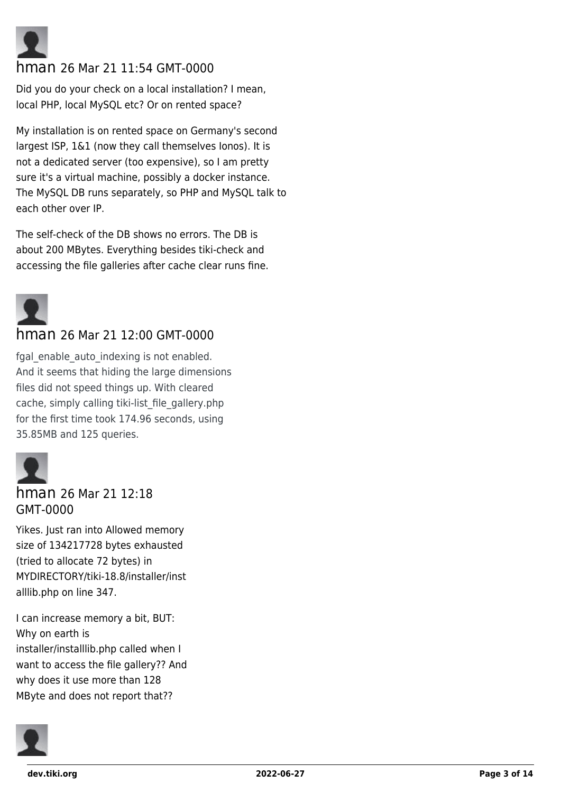

### hman 26 Mar 21 11:54 GMT-0000

Did you do your check on a local installation? I mean, local PHP, local MySQL etc? Or on rented space?

My installation is on rented space on Germany's second largest ISP, 1&1 (now they call themselves Ionos). It is not a dedicated server (too expensive), so I am pretty sure it's a virtual machine, possibly a docker instance. The MySQL DB runs separately, so PHP and MySQL talk to each other over IP.

The self-check of the DB shows no errors. The DB is about 200 MBytes. Everything besides tiki-check and accessing the file galleries after cache clear runs fine.



### hman 26 Mar 21 12:00 GMT-0000

fgal enable auto indexing is not enabled. And it seems that hiding the large dimensions files did not speed things up. With cleared cache, simply calling tiki-list file gallery.php for the first time took 174.96 seconds, using 35.85MB and 125 queries.



### hman 26 Mar 21 12:18 GMT-0000

Yikes. Just ran into Allowed memory size of 134217728 bytes exhausted (tried to allocate 72 bytes) in MYDIRECTORY/tiki-18.8/installer/inst alllib.php on line 347.

I can increase memory a bit, BUT: Why on earth is installer/installlib.php called when I want to access the file gallery?? And why does it use more than 128 MByte and does not report that??

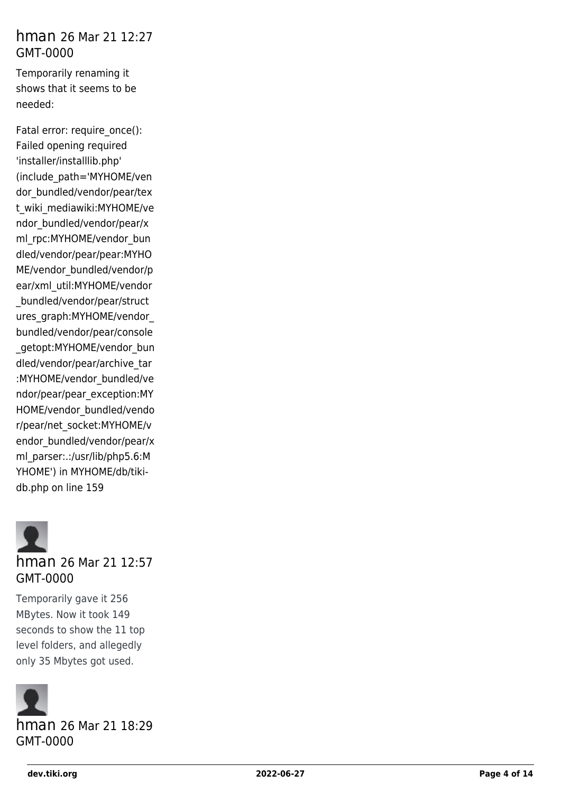### hman 26 Mar 21 12:27 GMT-0000

Temporarily renaming it shows that it seems to be needed:

Fatal error: require\_once(): Failed opening required 'installer/installlib.php' (include\_path='MYHOME/ven dor bundled/vendor/pear/tex t\_wiki\_mediawiki:MYHOME/ve ndor\_bundled/vendor/pear/x ml\_rpc:MYHOME/vendor\_bun dled/vendor/pear/pear:MYHO ME/vendor\_bundled/vendor/p ear/xml\_util:MYHOME/vendor \_bundled/vendor/pear/struct ures\_graph:MYHOME/vendor\_ bundled/vendor/pear/console \_getopt:MYHOME/vendor\_bun dled/vendor/pear/archive\_tar :MYHOME/vendor\_bundled/ve ndor/pear/pear\_exception:MY HOME/vendor\_bundled/vendo r/pear/net\_socket:MYHOME/v endor bundled/vendor/pear/x ml\_parser:.:/usr/lib/php5.6:M YHOME') in MYHOME/db/tikidb.php on line 159



### hman 26 Mar 21 12:57 GMT-0000

Temporarily gave it 256 MBytes. Now it took 149 seconds to show the 11 top level folders, and allegedly only 35 Mbytes got used.



hman 26 Mar 21 18:29 GMT-0000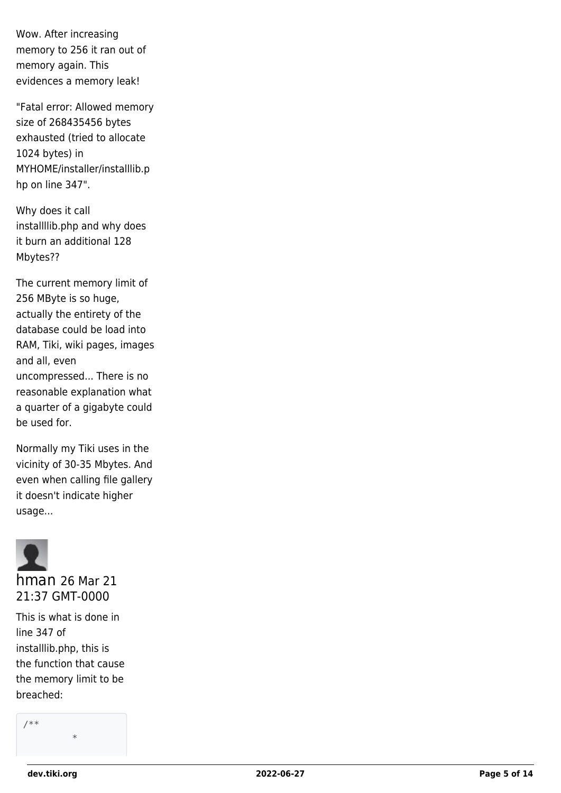Wow. After increasing memory to 256 it ran out of memory again. This evidences a memory leak!

"Fatal error: Allowed memory size of 268435456 bytes exhausted (tried to allocate 1024 bytes) in MYHOME/installer/installlib.p hp on line 347".

Why does it call installllib.php and why does it burn an additional 128 Mbytes??

The current memory limit of 256 MByte is so huge, actually the entirety of the database could be load into RAM, Tiki, wiki pages, images and all, even uncompressed... There is no reasonable explanation what a quarter of a gigabyte could be used for.

Normally my Tiki uses in the vicinity of 30-35 Mbytes. And even when calling file gallery it doesn't indicate higher usage...



This is what is done in line 347 of installlib.php, this is the function that cause the memory limit to be breached:

/\*\* \*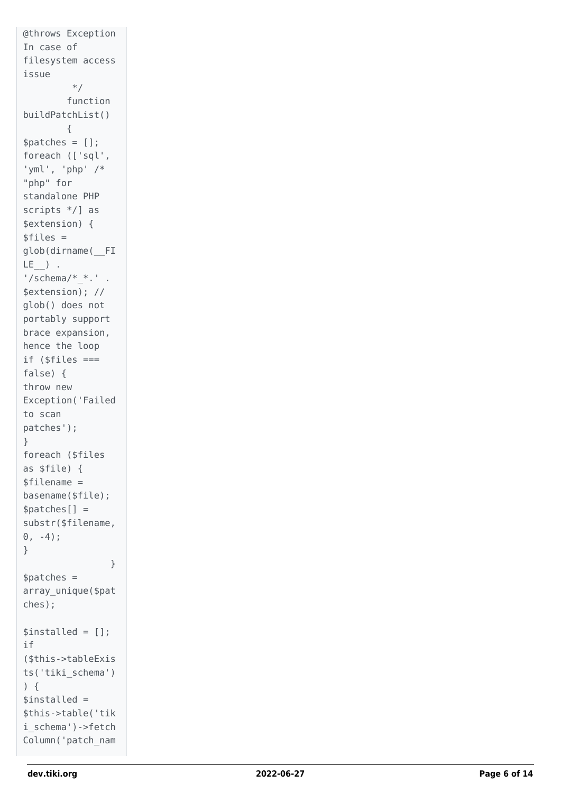```
@throws Exception
In case of
filesystem access
issue
         */
         function
buildPatchList()
         {
$patches = [];
foreach (['sql',
'yml', 'php' /*
"php" for
standalone PHP
scripts */] as
$extension) {
$files =glob(dirname(__FI
LE ) .
'/schema/* *.' .
$extension); //
glob() does not
portably support
brace expansion,
hence the loop
if ($files ===
false) {
throw new
Exception('Failed
to scan
patches'); }
foreach ($files
as $file) {
$filename =
basename($file);
$patches[] =substr($filename,
0, -4);
}
 }
$patches =array_unique($pat
ches);
$installed = [];
if
($this->tableExis
ts('tiki_schema')
) {
$installed =$this->table('tik
i_schema')->fetch
Column('patch_nam
```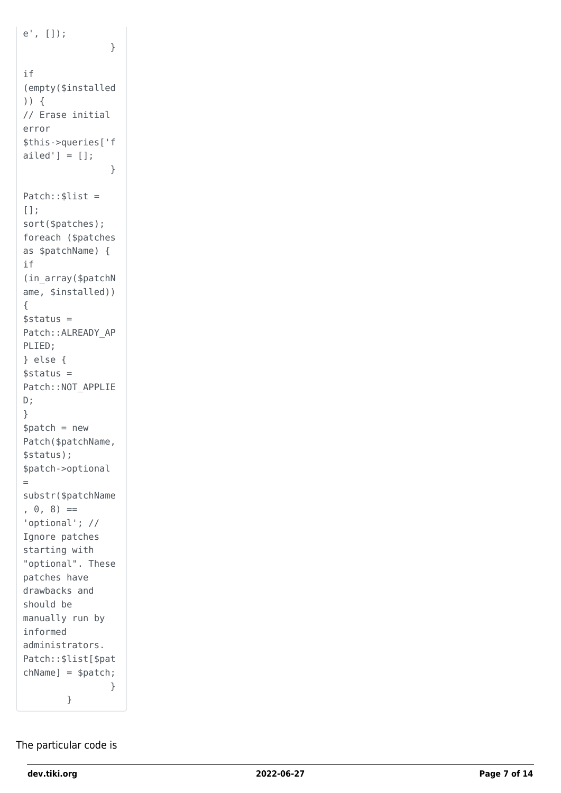```
e', []);
 }
if
(empty($installed
)) {
// Erase initial
error
$this->queries['f
ailed'] = [];
 }
Patch::$list =
[];
sort($patches);
foreach ($patches
as $patchName) {
if
(in_array($patchN
ame, $installed)) {
\frac{1}{2}status =
Patch::ALREADY AP
PLIED;
} else {
$status =Patch::NOT_APPLIE
D ;<br>}
$patch = newPatch($patchName,
$status);
$patch->optional =
substr($patchName
, 0, 8) =='optional'; //
Ignore patches
starting with
"optional". These
patches have
drawbacks and
should be
manually run by
informed
administrators.
Patch::$list[$pat
chName] = $patch;
 }
         }
```
### The particular code is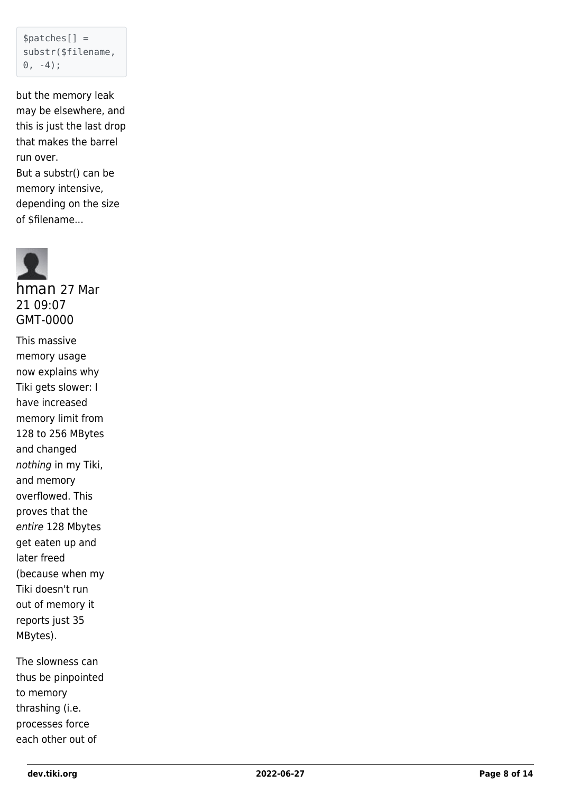```
$patches[] =substr($filename,
0, -4);
```
but the memory leak may be elsewhere, and this is just the last drop that makes the barrel run over. But a substr() can be memory intensive, depending on the size of \$filename...



hman 27 Mar 21 09:07 GMT-0000

This massive memory usage now explains why Tiki gets slower: I have increased memory limit from 128 to 256 MBytes and changed nothing in my Tiki, and memory overflowed. This proves that the entire 128 Mbytes get eaten up and later freed (because when my Tiki doesn't run out of memory it reports just 35 MBytes).

The slowness can thus be pinpointed to memory thrashing (i.e. processes force each other out of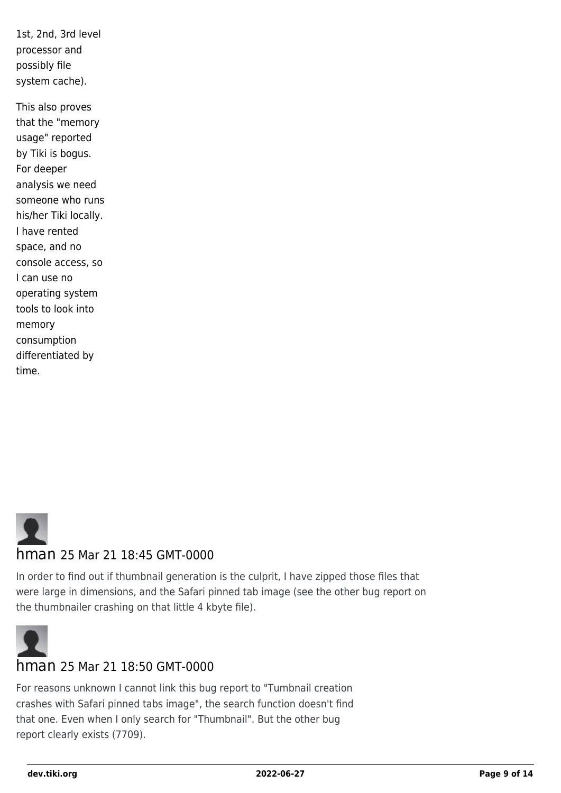1st, 2nd, 3rd level processor and possibly file system cache).

This also proves that the "memory usage" reported by Tiki is bogus. For deeper analysis we need someone who runs his/her Tiki locally. I have rented space, and no console access, so I can use no operating system tools to look into memory consumption differentiated by time.



### hman 25 Mar 21 18:45 GMT-0000

In order to find out if thumbnail generation is the culprit, I have zipped those files that were large in dimensions, and the Safari pinned tab image (see the other bug report on the thumbnailer crashing on that little 4 kbyte file).



### hman 25 Mar 21 18:50 GMT-0000

For reasons unknown I cannot link this bug report to "Tumbnail creation crashes with Safari pinned tabs image", the search function doesn't find that one. Even when I only search for "Thumbnail". But the other bug report clearly exists (7709).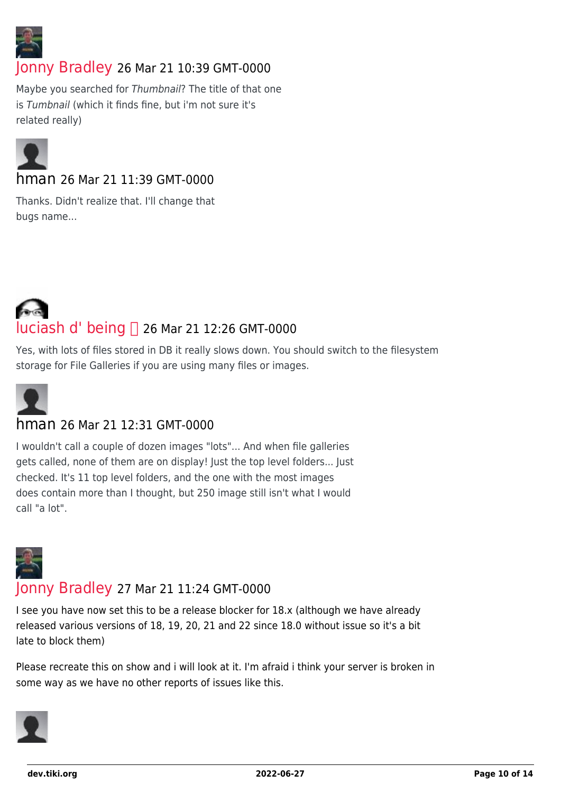

### [Jonny Bradley](https://dev.tiki.org/user8515) 26 Mar 21 10:39 GMT-0000

Maybe you searched for Thumbnail? The title of that one is Tumbnail (which it finds fine, but i'm not sure it's related really)



### hman 26 Mar 21 11:39 GMT-0000

Thanks. Didn't realize that. I'll change that bugs name...

# **Luciash d' being □ 26 Mar 21 12:26 GMT-0000**

Yes, with lots of files stored in DB it really slows down. You should switch to the filesystem storage for File Galleries if you are using many files or images.



### hman 26 Mar 21 12:31 GMT-0000

I wouldn't call a couple of dozen images "lots"... And when file galleries gets called, none of them are on display! Just the top level folders... Just checked. It's 11 top level folders, and the one with the most images does contain more than I thought, but 250 image still isn't what I would call "a lot".



### [Jonny Bradley](https://dev.tiki.org/user8515) 27 Mar 21 11:24 GMT-0000

I see you have now set this to be a release blocker for 18.x (although we have already released various versions of 18, 19, 20, 21 and 22 since 18.0 without issue so it's a bit late to block them)

Please recreate this on show and i will look at it. I'm afraid i think your server is broken in some way as we have no other reports of issues like this.

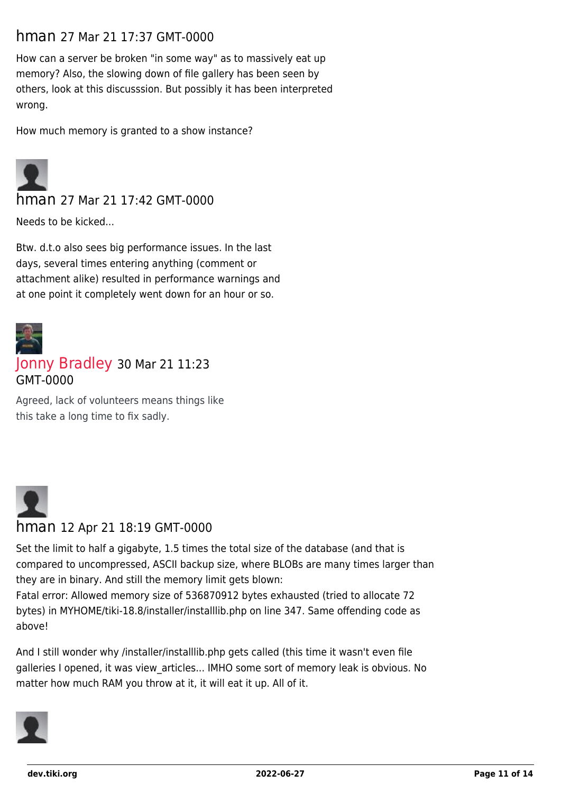### hman 27 Mar 21 17:37 GMT-0000

How can a server be broken "in some way" as to massively eat up memory? Also, the slowing down of file gallery has been seen by others, look at this discusssion. But possibly it has been interpreted wrong.

How much memory is granted to a show instance?



hman 27 Mar 21 17:42 GMT-0000

Needs to be kicked...

Btw. d.t.o also sees big performance issues. In the last days, several times entering anything (comment or attachment alike) resulted in performance warnings and at one point it completely went down for an hour or so.



### [Jonny Bradley](https://dev.tiki.org/user8515) 30 Mar 21 11:23 GMT-0000

Agreed, lack of volunteers means things like this take a long time to fix sadly.



### hman 12 Apr 21 18:19 GMT-0000

Set the limit to half a gigabyte, 1.5 times the total size of the database (and that is compared to uncompressed, ASCII backup size, where BLOBs are many times larger than they are in binary. And still the memory limit gets blown:

Fatal error: Allowed memory size of 536870912 bytes exhausted (tried to allocate 72 bytes) in MYHOME/tiki-18.8/installer/installlib.php on line 347. Same offending code as above!

And I still wonder why /installer/installlib.php gets called (this time it wasn't even file galleries I opened, it was view\_articles... IMHO some sort of memory leak is obvious. No matter how much RAM you throw at it, it will eat it up. All of it.

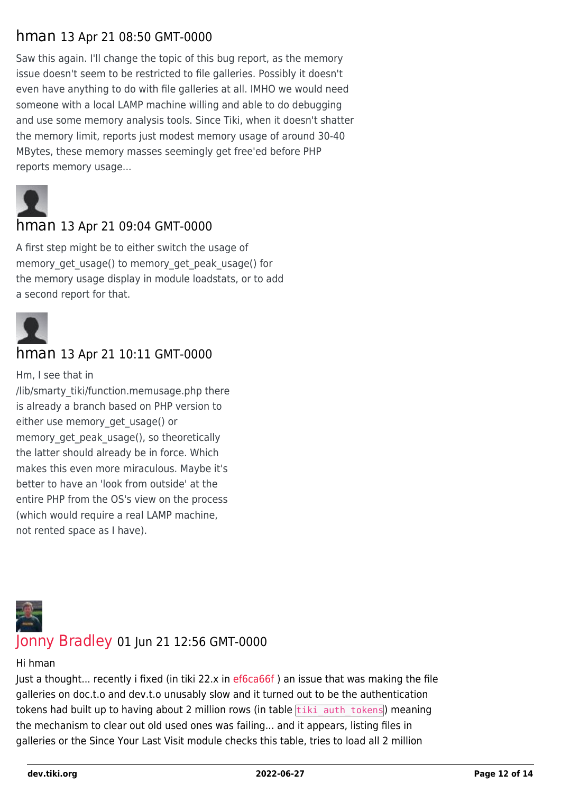### hman 13 Apr 21 08:50 GMT-0000

Saw this again. I'll change the topic of this bug report, as the memory issue doesn't seem to be restricted to file galleries. Possibly it doesn't even have anything to do with file galleries at all. IMHO we would need someone with a local LAMP machine willing and able to do debugging and use some memory analysis tools. Since Tiki, when it doesn't shatter the memory limit, reports just modest memory usage of around 30-40 MBytes, these memory masses seemingly get free'ed before PHP reports memory usage...



### hman 13 Apr 21 09:04 GMT-0000

A first step might be to either switch the usage of memory get usage() to memory get peak usage() for the memory usage display in module loadstats, or to add a second report for that.



### hman 13 Apr 21 10:11 GMT-0000

Hm, I see that in /lib/smarty\_tiki/function.memusage.php there is already a branch based on PHP version to either use memory\_get\_usage() or memory get peak usage(), so theoretically the latter should already be in force. Which makes this even more miraculous. Maybe it's better to have an 'look from outside' at the entire PHP from the OS's view on the process (which would require a real LAMP machine, not rented space as I have).



### [Jonny Bradley](https://dev.tiki.org/user8515) 01 Jun 21 12:56 GMT-0000

### Hi hman

Just a thought... recently i fixed (in tiki 22.x in ef6ca66f) an issue that was making the file galleries on doc.t.o and dev.t.o unusably slow and it turned out to be the authentication tokens had built up to having about 2 million rows (in table  $\frac{t}{\text{tiki}}$  auth tokens) meaning the mechanism to clear out old used ones was failing... and it appears, listing files in galleries or the Since Your Last Visit module checks this table, tries to load all 2 million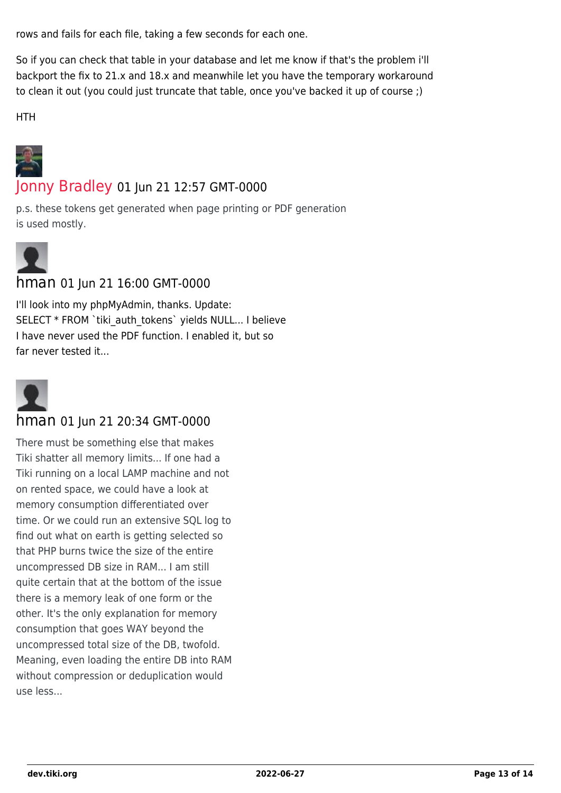rows and fails for each file, taking a few seconds for each one.

So if you can check that table in your database and let me know if that's the problem i'll backport the fix to 21.x and 18.x and meanwhile let you have the temporary workaround to clean it out (you could just truncate that table, once you've backed it up of course ;)

HTH



### [Jonny Bradley](https://dev.tiki.org/user8515) 01 Jun 21 12:57 GMT-0000

p.s. these tokens get generated when page printing or PDF generation is used mostly.



### hman 01 Jun 21 16:00 GMT-0000

I'll look into my phpMyAdmin, thanks. Update: SELECT \* FROM `tiki\_auth\_tokens` yields NULL... I believe I have never used the PDF function. I enabled it, but so far never tested it...



### hman 01 Jun 21 20:34 GMT-0000

There must be something else that makes Tiki shatter all memory limits... If one had a Tiki running on a local LAMP machine and not on rented space, we could have a look at memory consumption differentiated over time. Or we could run an extensive SQL log to find out what on earth is getting selected so that PHP burns twice the size of the entire uncompressed DB size in RAM... I am still quite certain that at the bottom of the issue there is a memory leak of one form or the other. It's the only explanation for memory consumption that goes WAY beyond the uncompressed total size of the DB, twofold. Meaning, even loading the entire DB into RAM without compression or deduplication would use less...